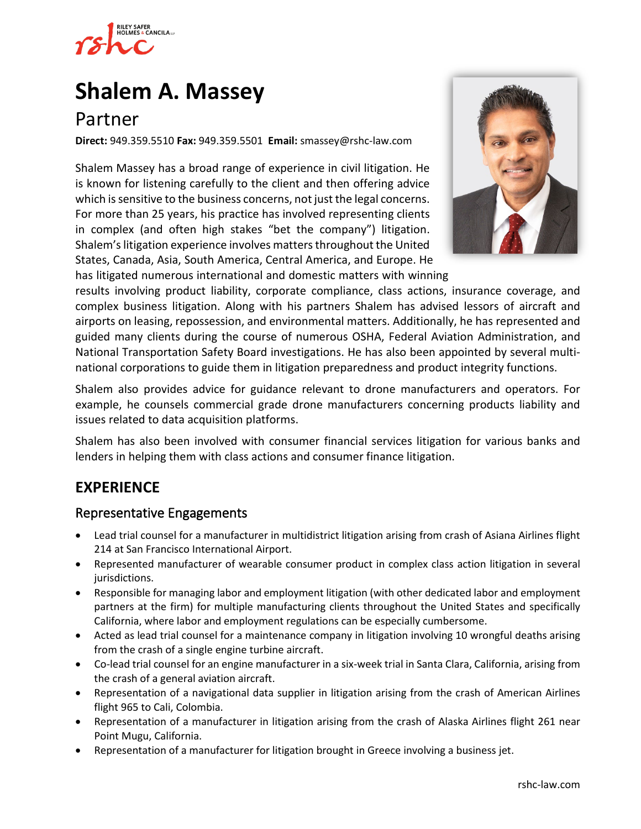

# **[Shalem A. Massey](https://www.rshc-law.com/attorneys/attorney/shalem-a.-massey)**

# Partner

**Direct:** 949.359.5510 **Fax:** 949.359.5501 **Email:** smassey@rshc-law.com

Shalem Massey has a broad range of experience in civil litigation. He is known for listening carefully to the client and then offering advice which is sensitive to the business concerns, not just the legal concerns. For more than 25 years, his practice has involved representing clients in complex (and often high stakes "bet the company") litigation. Shalem's litigation experience involves matters throughout the United States, Canada, Asia, South America, Central America, and Europe. He

has litigated numerous international and domestic matters with winning



results involving product liability, corporate compliance, class actions, insurance coverage, and complex business litigation. Along with his partners Shalem has advised lessors of aircraft and airports on leasing, repossession, and environmental matters. Additionally, he has represented and guided many clients during the course of numerous OSHA, Federal Aviation Administration, and National Transportation Safety Board investigations. He has also been appointed by several multinational corporations to guide them in litigation preparedness and product integrity functions.

Shalem also provides advice for guidance relevant to drone manufacturers and operators. For example, he counsels commercial grade drone manufacturers concerning products liability and issues related to data acquisition platforms.

Shalem has also been involved with consumer financial services litigation for various banks and lenders in helping them with class actions and consumer finance litigation.

# **EXPERIENCE**

#### Representative Engagements

- Lead trial counsel for a manufacturer in multidistrict litigation arising from crash of Asiana Airlines flight 214 at San Francisco International Airport.
- Represented manufacturer of wearable consumer product in complex class action litigation in several jurisdictions.
- Responsible for managing labor and employment litigation (with other dedicated labor and employment partners at the firm) for multiple manufacturing clients throughout the United States and specifically California, where labor and employment regulations can be especially cumbersome.
- Acted as lead trial counsel for a maintenance company in litigation involving 10 wrongful deaths arising from the crash of a single engine turbine aircraft.
- Co-lead trial counsel for an engine manufacturer in a six-week trial in Santa Clara, California, arising from the crash of a general aviation aircraft.
- Representation of a navigational data supplier in litigation arising from the crash of American Airlines flight 965 to Cali, Colombia.
- Representation of a manufacturer in litigation arising from the crash of Alaska Airlines flight 261 near Point Mugu, California.
- Representation of a manufacturer for litigation brought in Greece involving a business jet.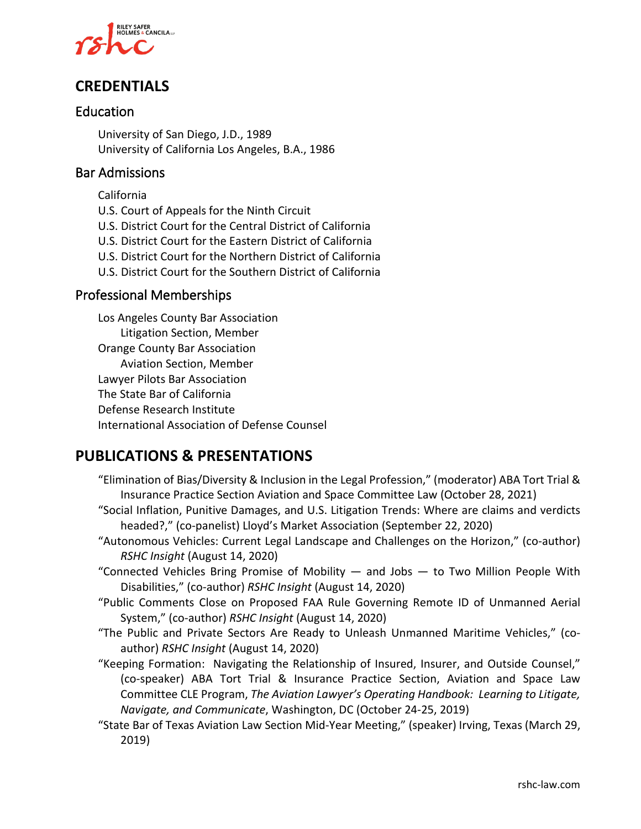

## **CREDENTIALS**

#### Education

University of San Diego, J.D., 1989 University of California Los Angeles, B.A., 1986

#### Bar Admissions

California

- U.S. Court of Appeals for the Ninth Circuit
- U.S. District Court for the Central District of California
- U.S. District Court for the Eastern District of California
- U.S. District Court for the Northern District of California
- U.S. District Court for the Southern District of California

#### Professional Memberships

Los Angeles County Bar Association Litigation Section, Member Orange County Bar Association Aviation Section, Member Lawyer Pilots Bar Association The State Bar of California Defense Research Institute International Association of Defense Counsel

### **PUBLICATIONS & PRESENTATIONS**

- "Elimination of Bias/Diversity & Inclusion in the Legal Profession," (moderator) ABA Tort Trial & Insurance Practice Section Aviation and Space Committee Law (October 28, 2021)
- "Social Inflation, Punitive Damages, and U.S. Litigation Trends: Where are claims and verdicts headed?," (co-panelist) Lloyd's Market Association (September 22, 2020)
- "Autonomous Vehicles: Current Legal Landscape and Challenges on the Horizon," (co-author) *RSHC Insight* (August 14, 2020)
- "Connected Vehicles Bring Promise of Mobility  $-$  and Jobs  $-$  to Two Million People With Disabilities," (co-author) *RSHC Insight* (August 14, 2020)
- "Public Comments Close on Proposed FAA Rule Governing Remote ID of Unmanned Aerial System," (co-author) *RSHC Insight* (August 14, 2020)
- "The Public and Private Sectors Are Ready to Unleash Unmanned Maritime Vehicles," (coauthor) *RSHC Insight* (August 14, 2020)
- "Keeping Formation: Navigating the Relationship of Insured, Insurer, and Outside Counsel," (co-speaker) ABA Tort Trial & Insurance Practice Section, Aviation and Space Law Committee CLE Program, *The Aviation Lawyer's Operating Handbook: Learning to Litigate, Navigate, and Communicate*, Washington, DC (October 24-25, 2019)
- "State Bar of Texas Aviation Law Section Mid-Year Meeting," (speaker) Irving, Texas (March 29, 2019)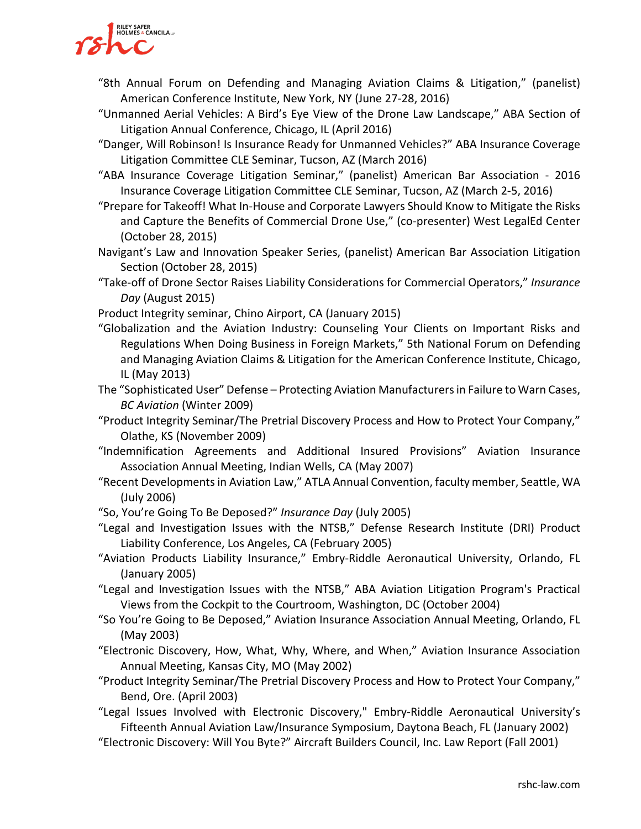

- "8th Annual Forum on Defending and Managing Aviation Claims & Litigation," (panelist) American Conference Institute, New York, NY (June 27-28, 2016)
- "Unmanned Aerial Vehicles: A Bird's Eye View of the Drone Law Landscape," ABA Section of Litigation Annual Conference, Chicago, IL (April 2016)
- "Danger, Will Robinson! Is Insurance Ready for Unmanned Vehicles?" ABA Insurance Coverage Litigation Committee CLE Seminar, Tucson, AZ (March 2016)
- "ABA Insurance Coverage Litigation Seminar," (panelist) American Bar Association 2016 Insurance Coverage Litigation Committee CLE Seminar, Tucson, AZ (March 2-5, 2016)
- "Prepare for Takeoff! What In-House and Corporate Lawyers Should Know to Mitigate the Risks and Capture the Benefits of Commercial Drone Use," (co-presenter) West LegalEd Center (October 28, 2015)
- Navigant's Law and Innovation Speaker Series, (panelist) American Bar Association Litigation Section (October 28, 2015)
- "Take-off of Drone Sector Raises Liability Considerations for Commercial Operators," *Insurance Day* (August 2015)
- Product Integrity seminar, Chino Airport, CA (January 2015)
- "Globalization and the Aviation Industry: Counseling Your Clients on Important Risks and Regulations When Doing Business in Foreign Markets," 5th National Forum on Defending and Managing Aviation Claims & Litigation for the American Conference Institute, Chicago, IL (May 2013)
- The "Sophisticated User" Defense Protecting Aviation Manufacturers in Failure to Warn Cases, *BC Aviation* (Winter 2009)
- "Product Integrity Seminar/The Pretrial Discovery Process and How to Protect Your Company," Olathe, KS (November 2009)
- "Indemnification Agreements and Additional Insured Provisions" Aviation Insurance Association Annual Meeting, Indian Wells, CA (May 2007)
- "Recent Developments in Aviation Law," ATLA Annual Convention, faculty member, Seattle, WA (July 2006)
- "So, You're Going To Be Deposed?" *Insurance Day* (July 2005)
- "Legal and Investigation Issues with the NTSB," Defense Research Institute (DRI) Product Liability Conference, Los Angeles, CA (February 2005)
- "Aviation Products Liability Insurance," Embry-Riddle Aeronautical University, Orlando, FL (January 2005)
- "Legal and Investigation Issues with the NTSB," ABA Aviation Litigation Program's Practical Views from the Cockpit to the Courtroom, Washington, DC (October 2004)
- "So You're Going to Be Deposed," Aviation Insurance Association Annual Meeting, Orlando, FL (May 2003)
- "Electronic Discovery, How, What, Why, Where, and When," Aviation Insurance Association Annual Meeting, Kansas City, MO (May 2002)
- "Product Integrity Seminar/The Pretrial Discovery Process and How to Protect Your Company," Bend, Ore. (April 2003)
- "Legal Issues Involved with Electronic Discovery," Embry-Riddle Aeronautical University's Fifteenth Annual Aviation Law/Insurance Symposium, Daytona Beach, FL (January 2002)
- "Electronic Discovery: Will You Byte?" Aircraft Builders Council, Inc. Law Report (Fall 2001)